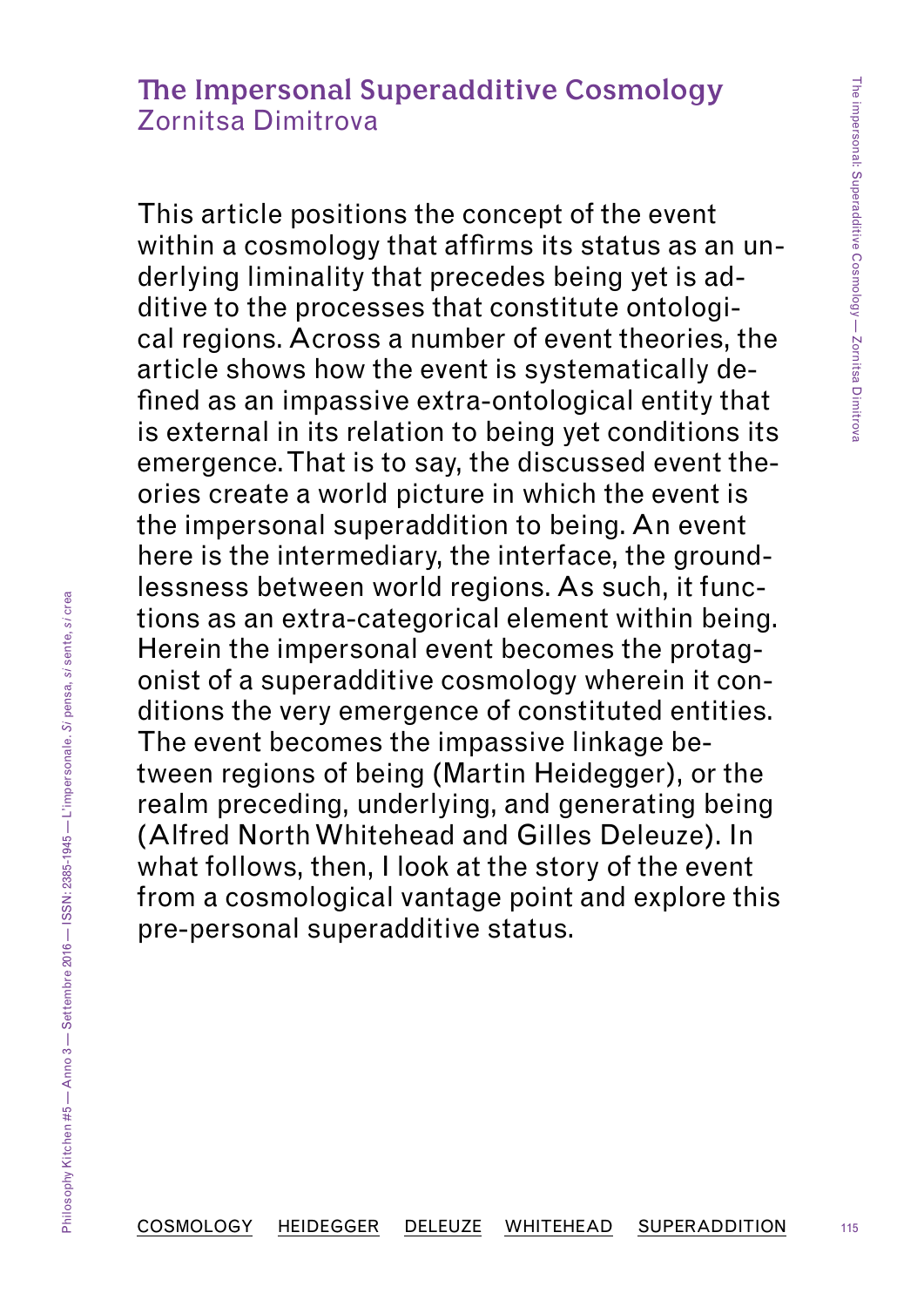# **The Impersonal Superadditive Cosmology**  Zornitsa Dimitrova

This article positions the concept of the event within a cosmology that affirms its status as an underlying liminality that precedes being yet is additive to the processes that constitute ontological regions. Across a number of event theories, the article shows how the event is systematically defined as an impassive extra-ontological entity that is external in its relation to being yet conditions its emergence. That is to say, the discussed event theories create a world picture in which the event is the impersonal superaddition to being. An event here is the intermediary, the interface, the groundlessness between world regions. As such, it functions as an extra-categorical element within being. Herein the impersonal event becomes the protagonist of a superadditive cosmology wherein it conditions the very emergence of constituted entities. The event becomes the impassive linkage between regions of being (Martin Heidegger), or the realm preceding, underlying, and generating being (Alfred North Whitehead and Gilles Deleuze). In what follows, then, I look at the story of the event from a cosmological vantage point and explore this pre-personal superadditive status.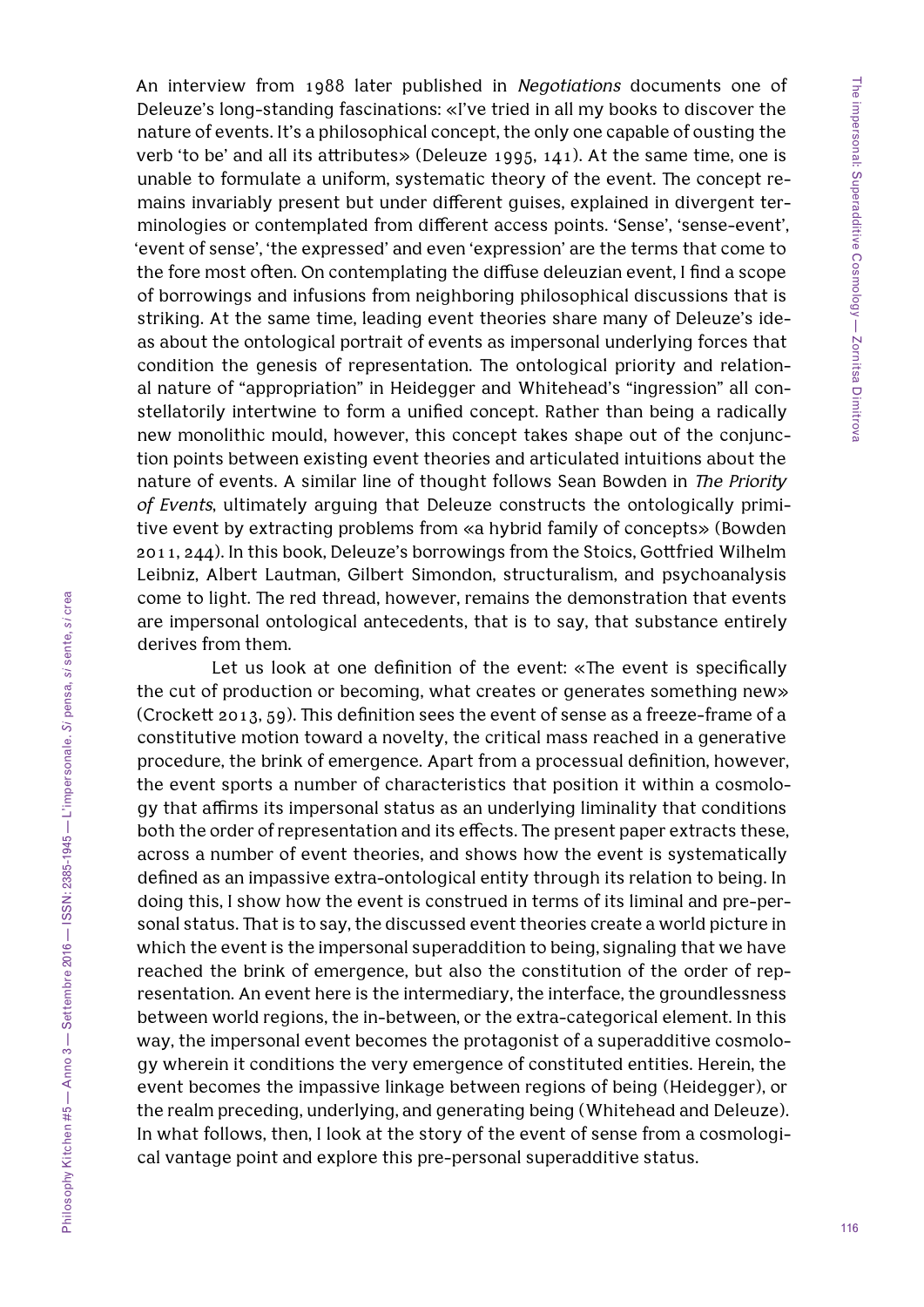An interview from 1988 later published in *Negotiations* documents one of Deleuze's long-standing fascinations: «I've tried in all my books to discover the nature of events. It's a philosophical concept, the only one capable of ousting the verb 'to be' and all its attributes» (Deleuze 1995, 141). At the same time, one is unable to formulate a uniform, systematic theory of the event. The concept remains invariably present but under different guises, explained in divergent terminologies or contemplated from different access points. 'Sense', 'sense-event', 'event of sense', 'the expressed' and even 'expression' are the terms that come to the fore most often. On contemplating the diffuse deleuzian event, I find a scope of borrowings and infusions from neighboring philosophical discussions that is striking. At the same time, leading event theories share many of Deleuze's ideas about the ontological portrait of events as impersonal underlying forces that condition the genesis of representation. The ontological priority and relational nature of "appropriation" in Heidegger and Whitehead's "ingression" all constellatorily intertwine to form a unified concept. Rather than being a radically new monolithic mould, however, this concept takes shape out of the conjunction points between existing event theories and articulated intuitions about the nature of events. A similar line of thought follows Sean Bowden in *The Priority of Events*, ultimately arguing that Deleuze constructs the ontologically primitive event by extracting problems from «a hybrid family of concepts» (Bowden 2011, 244). In this book, Deleuze's borrowings from the Stoics, Gottfried Wilhelm Leibniz, Albert Lautman, Gilbert Simondon, structuralism, and psychoanalysis come to light. The red thread, however, remains the demonstration that events are impersonal ontological antecedents, that is to say, that substance entirely derives from them.

Let us look at one definition of the event: «The event is specifically the cut of production or becoming, what creates or generates something new» (Crockett 2013, 59). This definition sees the event of sense as a freeze-frame of a constitutive motion toward a novelty, the critical mass reached in a generative procedure, the brink of emergence. Apart from a processual definition, however, the event sports a number of characteristics that position it within a cosmology that affirms its impersonal status as an underlying liminality that conditions both the order of representation and its effects. The present paper extracts these, across a number of event theories, and shows how the event is systematically defined as an impassive extra-ontological entity through its relation to being. In doing this, I show how the event is construed in terms of its liminal and pre-personal status. That is to say, the discussed event theories create a world picture in which the event is the impersonal superaddition to being, signaling that we have reached the brink of emergence, but also the constitution of the order of representation. An event here is the intermediary, the interface, the groundlessness between world regions, the in-between, or the extra-categorical element. In this way, the impersonal event becomes the protagonist of a superadditive cosmology wherein it conditions the very emergence of constituted entities. Herein, the event becomes the impassive linkage between regions of being (Heidegger), or the realm preceding, underlying, and generating being (Whitehead and Deleuze). In what follows, then, I look at the story of the event of sense from a cosmological vantage point and explore this pre-personal superadditive status.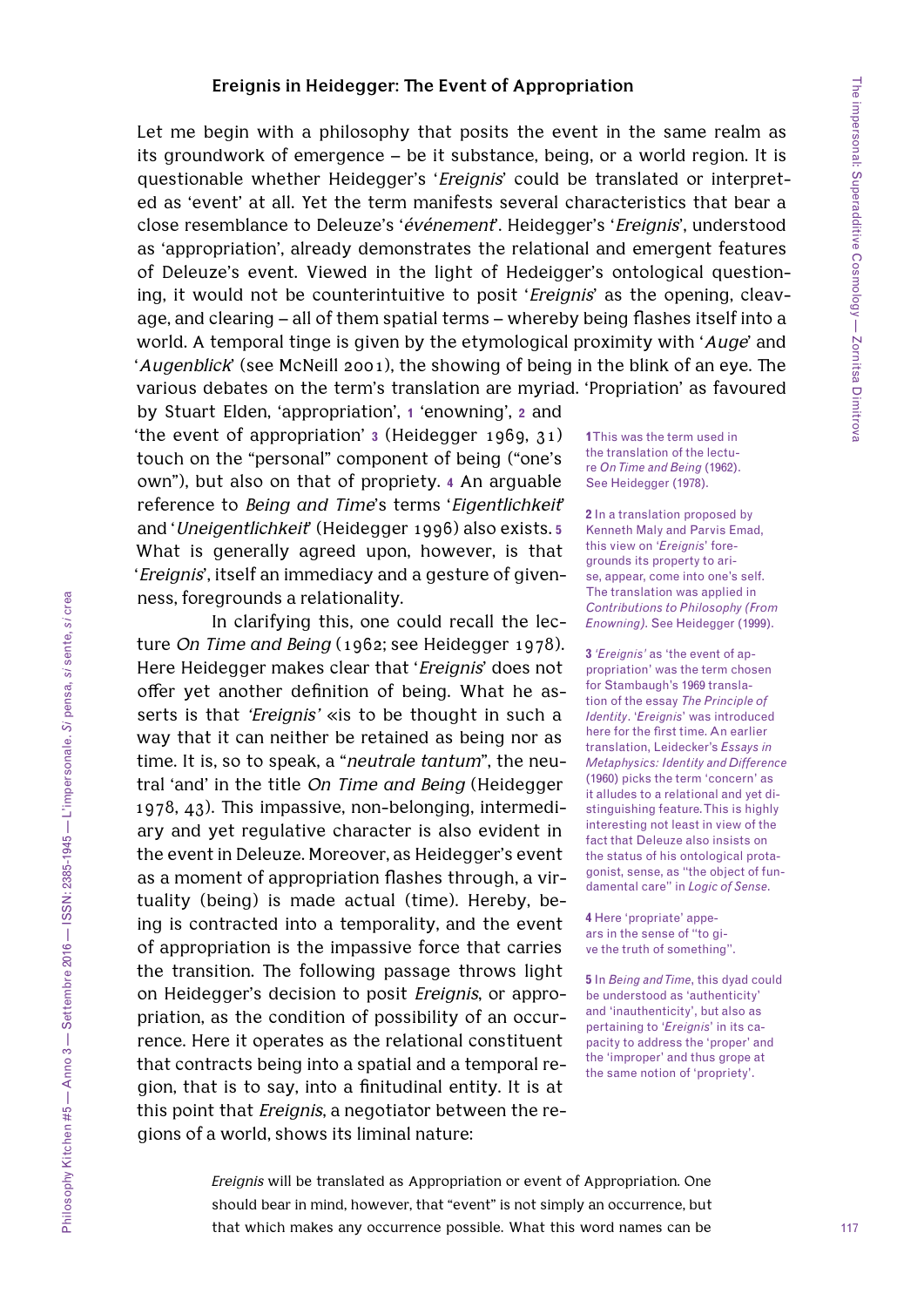#### **Ereignis in Heidegger: The Event of Appropriation**

Let me begin with a philosophy that posits the event in the same realm as its groundwork of emergence – be it substance, being, or a world region. It is questionable whether Heidegger's '*Ereignis*' could be translated or interpreted as 'event' at all. Yet the term manifests several characteristics that bear a close resemblance to Deleuze's '*événement*'. Heidegger's '*Ereignis*', understood as 'appropriation', already demonstrates the relational and emergent features of Deleuze's event. Viewed in the light of Hedeigger's ontological questioning, it would not be counterintuitive to posit '*Ereignis*' as the opening, cleavage, and clearing – all of them spatial terms – whereby being flashes itself into a world. A temporal tinge is given by the etymological proximity with '*Auge*' and '*Augenblick*' (see McNeill 2001), the showing of being in the blink of an eye. The various debates on the term's translation are myriad. 'Propriation' as favoured

by Stuart Elden, 'appropriation', **1** 'enowning', **2** and 'the event of appropriation' **3** (Heidegger 1969, 31) touch on the "personal" component of being ("one's own"), but also on that of propriety. **4** An arguable reference to *Being and Time*'s terms '*Eigentlichkeit*' and '*Uneigentlichkeit*' (Heidegger 1996) also exists. **5** What is generally agreed upon, however, is that '*Ereignis*', itself an immediacy and a gesture of givenness, foregrounds a relationality.

In clarifying this, one could recall the lecture *On Time and Being* (1962; see Heidegger 1978). Here Heidegger makes clear that '*Ereignis*' does not offer yet another definition of being. What he asserts is that *'Ereignis'* «is to be thought in such a way that it can neither be retained as being nor as time. It is, so to speak, a "*neutrale tantum*", the neutral 'and' in the title *On Time and Being* (Heidegger 1978, 43). This impassive, non-belonging, intermediary and yet regulative character is also evident in the event in Deleuze. Moreover, as Heidegger's event as a moment of appropriation flashes through, a virtuality (being) is made actual (time). Hereby, being is contracted into a temporality, and the event of appropriation is the impassive force that carries the transition. The following passage throws light on Heidegger's decision to posit *Ereignis*, or appropriation, as the condition of possibility of an occurrence. Here it operates as the relational constituent that contracts being into a spatial and a temporal region, that is to say, into a finitudinal entity. It is at this point that *Ereignis*, a negotiator between the regions of a world, shows its liminal nature:

**1** This was the term used in the translation of the lecture *On Time and Being* (1962). See Heidegger (1978).

**2** In a translation proposed by Kenneth Maly and Parvis Emad, this view on '*Ereignis*' foregrounds its property to arise, appear, come into one's self. The translation was applied in *Contributions to Philosophy (From Enowning)*. See Heidegger (1999).

**3** *'Ereignis'* as 'the event of appropriation' was the term chosen for Stambaugh's 1969 translation of the essay *The Principle of Identity*. '*Ereignis*' was introduced here for the first time. An earlier translation, Leidecker's *Essays in Metaphysics: Identity and Difference* (1960) picks the term 'concern' as it alludes to a relational and yet distinguishing feature. This is highly interesting not least in view of the fact that Deleuze also insists on the status of his ontological protagonist, sense, as "the object of fundamental care" in *Logic of Sense*.

**4** Here 'propriate' appears in the sense of "to give the truth of something".

**5** In *Being and Time*, this dyad could be understood as 'authenticity' and 'inauthenticity', but also as pertaining to '*Ereignis*' in its capacity to address the 'proper' and the 'improper' and thus grope at the same notion of 'propriety'.

*Ereignis* will be translated as Appropriation or event of Appropriation. One should bear in mind, however, that "event" is not simply an occurrence, but that which makes any occurrence possible. What this word names can be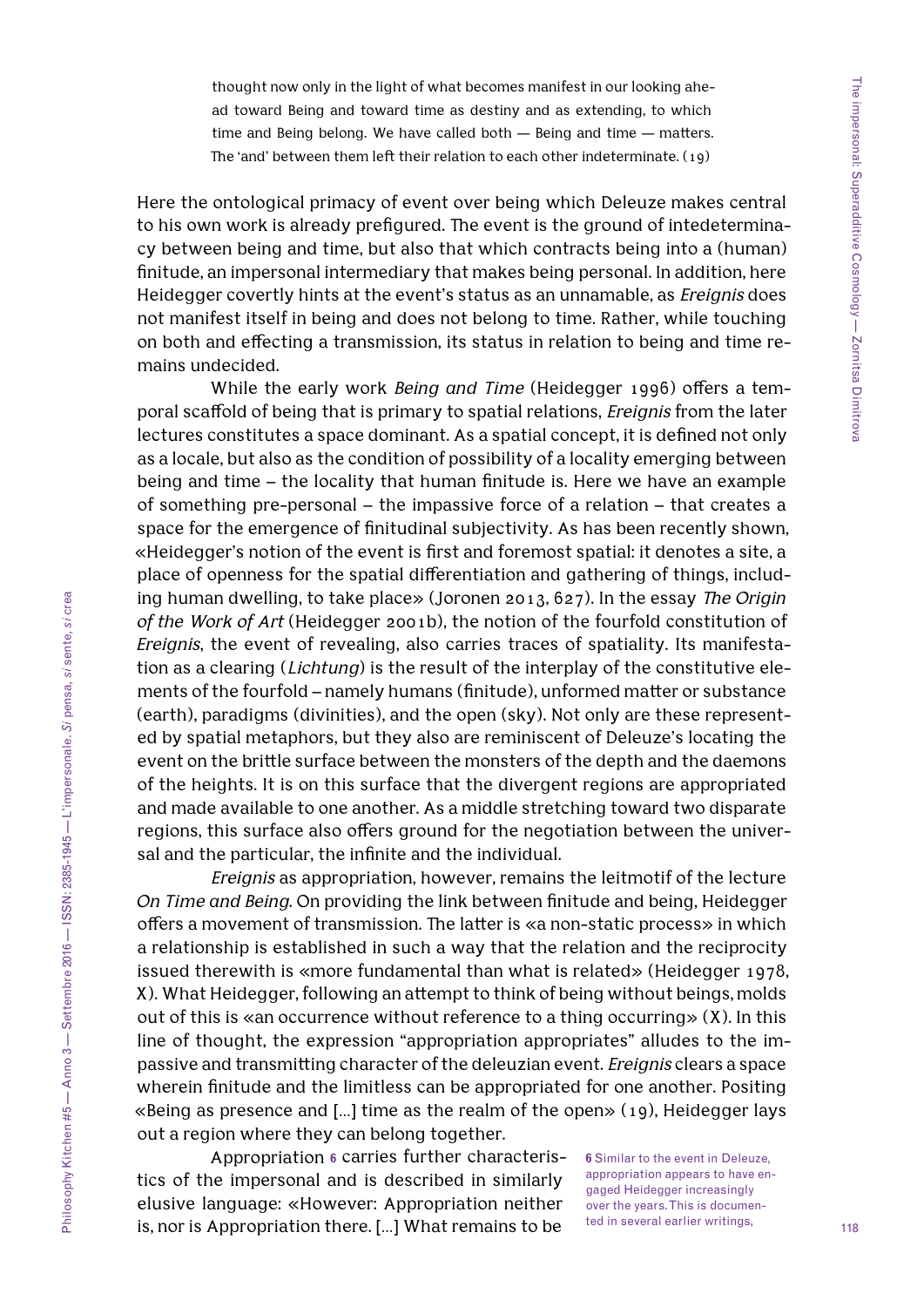thought now only in the light of what becomes manifest in our looking ahead toward Being and toward time as destiny and as extending, to which time and Being belong. We have called both — Being and time — matters. The 'and' between them left their relation to each other indeterminate. (19)

Here the ontological primacy of event over being which Deleuze makes central to his own work is already prefigured. The event is the ground of intedeterminacy between being and time, but also that which contracts being into a (human) finitude, an impersonal intermediary that makes being personal. In addition, here Heidegger covertly hints at the event's status as an unnamable, as *Ereignis* does not manifest itself in being and does not belong to time. Rather, while touching on both and effecting a transmission, its status in relation to being and time remains undecided.

While the early work *Being and Time* (Heidegger 1996) offers a temporal scaffold of being that is primary to spatial relations, *Ereignis* from the later lectures constitutes a space dominant. As a spatial concept, it is defined not only as a locale, but also as the condition of possibility of a locality emerging between being and time – the locality that human finitude is. Here we have an example of something pre-personal – the impassive force of a relation – that creates a space for the emergence of finitudinal subjectivity. As has been recently shown, «Heidegger's notion of the event is first and foremost spatial: it denotes a site, a place of openness for the spatial differentiation and gathering of things, including human dwelling, to take place» (Joronen 2013, 627). In the essay *The Origin of the Work of Art* (Heidegger 2001b), the notion of the fourfold constitution of *Ereignis*, the event of revealing, also carries traces of spatiality. Its manifestation as a clearing (*Lichtung*) is the result of the interplay of the constitutive elements of the fourfold – namely humans (finitude), unformed matter or substance (earth), paradigms (divinities), and the open (sky). Not only are these represented by spatial metaphors, but they also are reminiscent of Deleuze's locating the event on the brittle surface between the monsters of the depth and the daemons of the heights. It is on this surface that the divergent regions are appropriated and made available to one another. As a middle stretching toward two disparate regions, this surface also offers ground for the negotiation between the universal and the particular, the infinite and the individual.

*Ereignis* as appropriation, however, remains the leitmotif of the lecture *On Time and Being*. On providing the link between finitude and being, Heidegger offers a movement of transmission. The latter is «a non-static process» in which a relationship is established in such a way that the relation and the reciprocity issued therewith is «more fundamental than what is related» (Heidegger 1978, X). What Heidegger, following an attempt to think of being without beings, molds out of this is «an occurrence without reference to a thing occurring» (X). In this line of thought, the expression "appropriation appropriates" alludes to the impassive and transmitting character of the deleuzian event. *Ereignis* clears a space wherein finitude and the limitless can be appropriated for one another. Positing «Being as presence and […] time as the realm of the open» (19), Heidegger lays out a region where they can belong together.

Appropriation **6** carries further characteristics of the impersonal and is described in similarly elusive language: «However: Appropriation neither is, nor is Appropriation there. […] What remains to be

**6** Similar to the event in Deleuze, appropriation appears to have engaged Heidegger increasingly over the years. This is documented in several earlier writings,

118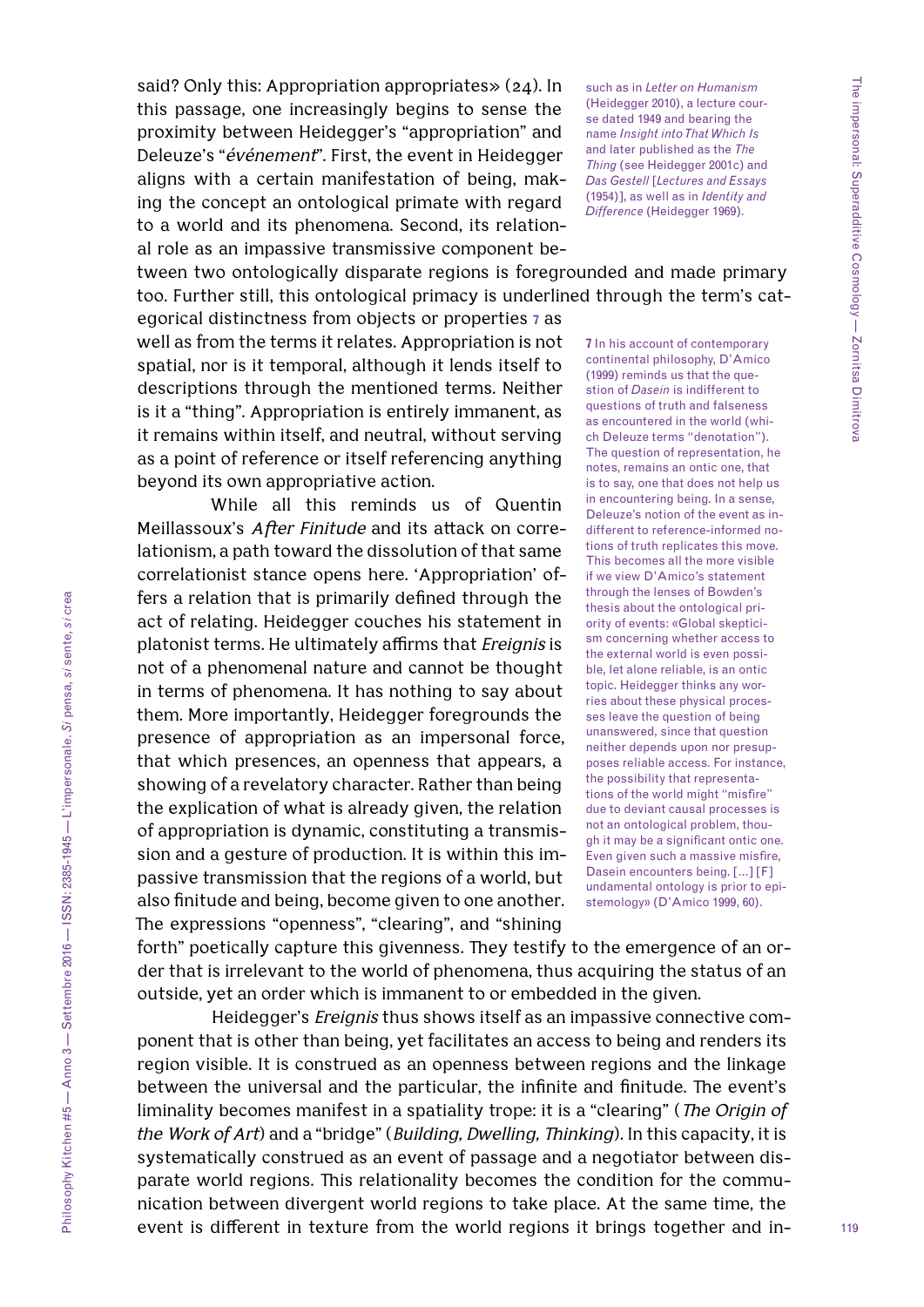said? Only this: Appropriation appropriates» (24). In this passage, one increasingly begins to sense the proximity between Heidegger's "appropriation" and Deleuze's "*événement*". First, the event in Heidegger aligns with a certain manifestation of being, making the concept an ontological primate with regard to a world and its phenomena. Second, its relational role as an impassive transmissive component be-

such as in *Letter on Humanism*  (Heidegger 2010), a lecture course dated 1949 and bearing the name *Insight into That Which Is*  and later published as the *The Thing* (see Heidegger 2001c) and *Das Gestell* [*Lectures and Essays*  (1954)], as well as in *Identity and Difference* (Heidegger 1969).

tween two ontologically disparate regions is foregrounded and made primary too. Further still, this ontological primacy is underlined through the term's cat-

egorical distinctness from objects or properties **7** as well as from the terms it relates. Appropriation is not spatial, nor is it temporal, although it lends itself to descriptions through the mentioned terms. Neither is it a "thing". Appropriation is entirely immanent, as it remains within itself, and neutral, without serving as a point of reference or itself referencing anything beyond its own appropriative action.

While all this reminds us of Quentin Meillassoux's *After Finitude* and its attack on correlationism, a path toward the dissolution of that same correlationist stance opens here. 'Appropriation' offers a relation that is primarily defined through the act of relating. Heidegger couches his statement in platonist terms. He ultimately affirms that *Ereignis* is not of a phenomenal nature and cannot be thought in terms of phenomena. It has nothing to say about them. More importantly, Heidegger foregrounds the presence of appropriation as an impersonal force, that which presences, an openness that appears, a showing of a revelatory character. Rather than being the explication of what is already given, the relation of appropriation is dynamic, constituting a transmission and a gesture of production. It is within this impassive transmission that the regions of a world, but also finitude and being, become given to one another. The expressions "openness", "clearing", and "shining

**7** In his account of contemporary continental philosophy, D'Amico (1999) reminds us that the question of *Dasein* is indifferent to questions of truth and falseness as encountered in the world (which Deleuze terms "denotation"). The question of representation, he notes, remains an ontic one, that is to say, one that does not help us in encountering being. In a sense, Deleuze's notion of the event as indifferent to reference-informed notions of truth replicates this move. This becomes all the more visible if we view D'Amico's statement through the lenses of Bowden's thesis about the ontological priority of events: «Global skepticism concerning whether access to the external world is even possible, let alone reliable, is an ontic topic. Heidegger thinks any worries about these physical processes leave the question of being unanswered, since that question neither depends upon nor presupposes reliable access. For instance, the possibility that representations of the world might "misfire" due to deviant causal processes is not an ontological problem, though it may be a significant ontic one. Even given such a massive misfire, Dasein encounters being. […] [F] undamental ontology is prior to epistemology» (D'Amico 1999, 60).

forth" poetically capture this givenness. They testify to the emergence of an order that is irrelevant to the world of phenomena, thus acquiring the status of an outside, yet an order which is immanent to or embedded in the given.

Heidegger's *Ereignis* thus shows itself as an impassive connective component that is other than being, yet facilitates an access to being and renders its region visible. It is construed as an openness between regions and the linkage between the universal and the particular, the infinite and finitude. The event's liminality becomes manifest in a spatiality trope: it is a "clearing" (*The Origin of the Work of Art*) and a "bridge" (*Building, Dwelling, Thinking*). In this capacity, it is systematically construed as an event of passage and a negotiator between disparate world regions. This relationality becomes the condition for the communication between divergent world regions to take place. At the same time, the event is different in texture from the world regions it brings together and in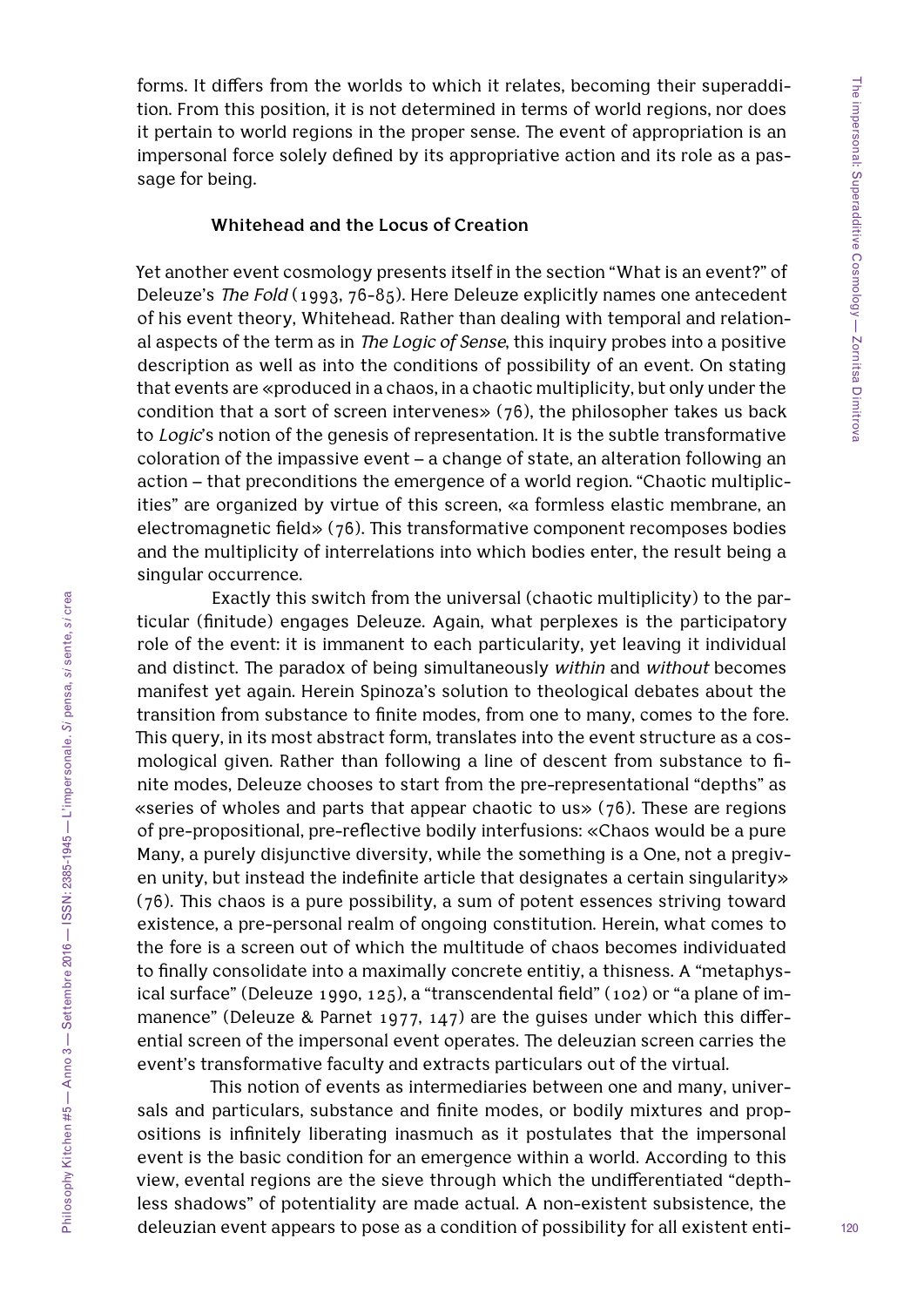forms. It differs from the worlds to which it relates, becoming their superaddition. From this position, it is not determined in terms of world regions, nor does it pertain to world regions in the proper sense. The event of appropriation is an impersonal force solely defined by its appropriative action and its role as a passage for being.

#### **Whitehead and the Locus of Creation**

Yet another event cosmology presents itself in the section "What is an event?" of Deleuze's *The Fold* (1993, 76-85). Here Deleuze explicitly names one antecedent of his event theory, Whitehead. Rather than dealing with temporal and relational aspects of the term as in *The Logic of Sense*, this inquiry probes into a positive description as well as into the conditions of possibility of an event. On stating that events are «produced in a chaos, in a chaotic multiplicity, but only under the condition that a sort of screen intervenes» (76), the philosopher takes us back to *Logic*'s notion of the genesis of representation. It is the subtle transformative coloration of the impassive event – a change of state, an alteration following an action – that preconditions the emergence of a world region. "Chaotic multiplicities" are organized by virtue of this screen, «a formless elastic membrane, an electromagnetic field» (76). This transformative component recomposes bodies and the multiplicity of interrelations into which bodies enter, the result being a singular occurrence.

Exactly this switch from the universal (chaotic multiplicity) to the particular (finitude) engages Deleuze. Again, what perplexes is the participatory role of the event: it is immanent to each particularity, yet leaving it individual and distinct. The paradox of being simultaneously *within* and *without* becomes manifest yet again. Herein Spinoza's solution to theological debates about the transition from substance to finite modes, from one to many, comes to the fore. This query, in its most abstract form, translates into the event structure as a cosmological given. Rather than following a line of descent from substance to finite modes, Deleuze chooses to start from the pre-representational "depths" as «series of wholes and parts that appear chaotic to us» (76). These are regions of pre-propositional, pre-reflective bodily interfusions: «Chaos would be a pure Many, a purely disjunctive diversity, while the something is a One, not a pregiven unity, but instead the indefinite article that designates a certain singularity» (76). This chaos is a pure possibility, a sum of potent essences striving toward existence, a pre-personal realm of ongoing constitution. Herein, what comes to the fore is a screen out of which the multitude of chaos becomes individuated to finally consolidate into a maximally concrete entitiy, a thisness. A "metaphysical surface" (Deleuze 1990, 125), a "transcendental field" (102) or "a plane of immanence" (Deleuze & Parnet 1977, 147) are the guises under which this differential screen of the impersonal event operates. The deleuzian screen carries the event's transformative faculty and extracts particulars out of the virtual.

This notion of events as intermediaries between one and many, universals and particulars, substance and finite modes, or bodily mixtures and propositions is infinitely liberating inasmuch as it postulates that the impersonal event is the basic condition for an emergence within a world. According to this view, evental regions are the sieve through which the undifferentiated "depthless shadows" of potentiality are made actual. A non-existent subsistence, the deleuzian event appears to pose as a condition of possibility for all existent enti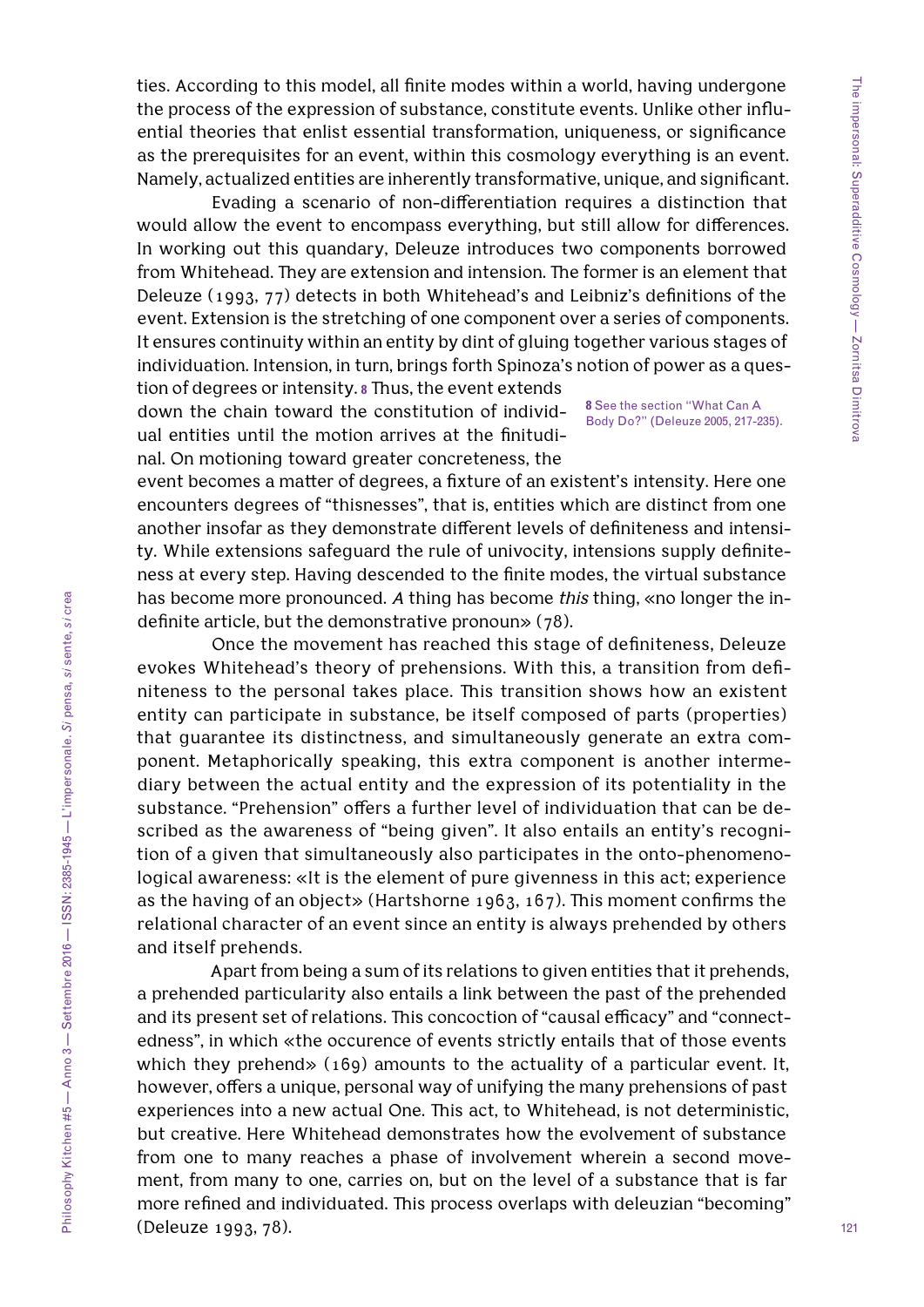ties. According to this model, all finite modes within a world, having undergone the process of the expression of substance, constitute events. Unlike other influential theories that enlist essential transformation, uniqueness, or significance as the prerequisites for an event, within this cosmology everything is an event. Namely, actualized entities are inherently transformative, unique, and significant.

Evading a scenario of non-differentiation requires a distinction that would allow the event to encompass everything, but still allow for differences. In working out this quandary, Deleuze introduces two components borrowed from Whitehead. They are extension and intension. The former is an element that Deleuze (1993, 77) detects in both Whitehead's and Leibniz's definitions of the event. Extension is the stretching of one component over a series of components. It ensures continuity within an entity by dint of gluing together various stages of individuation. Intension, in turn, brings forth Spinoza's notion of power as a question of degrees or intensity. **8** Thus, the event extends

down the chain toward the constitution of individual entities until the motion arrives at the finitudinal. On motioning toward greater concreteness, the

**8** See the section "What Can A Body Do?" (Deleuze 2005, 217-235).

event becomes a matter of degrees, a fixture of an existent's intensity. Here one encounters degrees of "thisnesses", that is, entities which are distinct from one another insofar as they demonstrate different levels of definiteness and intensity. While extensions safeguard the rule of univocity, intensions supply definiteness at every step. Having descended to the finite modes, the virtual substance has become more pronounced. *A* thing has become *this* thing, «no longer the indefinite article, but the demonstrative pronoun» (78).

Once the movement has reached this stage of definiteness, Deleuze evokes Whitehead's theory of prehensions. With this, a transition from definiteness to the personal takes place. This transition shows how an existent entity can participate in substance, be itself composed of parts (properties) that guarantee its distinctness, and simultaneously generate an extra component. Metaphorically speaking, this extra component is another intermediary between the actual entity and the expression of its potentiality in the substance. "Prehension" offers a further level of individuation that can be described as the awareness of "being given". It also entails an entity's recognition of a given that simultaneously also participates in the onto-phenomenological awareness: «It is the element of pure givenness in this act; experience as the having of an object» (Hartshorne 1963, 167). This moment confirms the relational character of an event since an entity is always prehended by others and itself prehends.

Apart from being a sum of its relations to given entities that it prehends, a prehended particularity also entails a link between the past of the prehended and its present set of relations. This concoction of "causal efficacy" and "connectedness", in which «the occurence of events strictly entails that of those events which they prehend» (169) amounts to the actuality of a particular event. It, however, offers a unique, personal way of unifying the many prehensions of past experiences into a new actual One. This act, to Whitehead, is not deterministic, but creative. Here Whitehead demonstrates how the evolvement of substance from one to many reaches a phase of involvement wherein a second movement, from many to one, carries on, but on the level of a substance that is far more refined and individuated. This process overlaps with deleuzian "becoming" (Deleuze 1993, 78).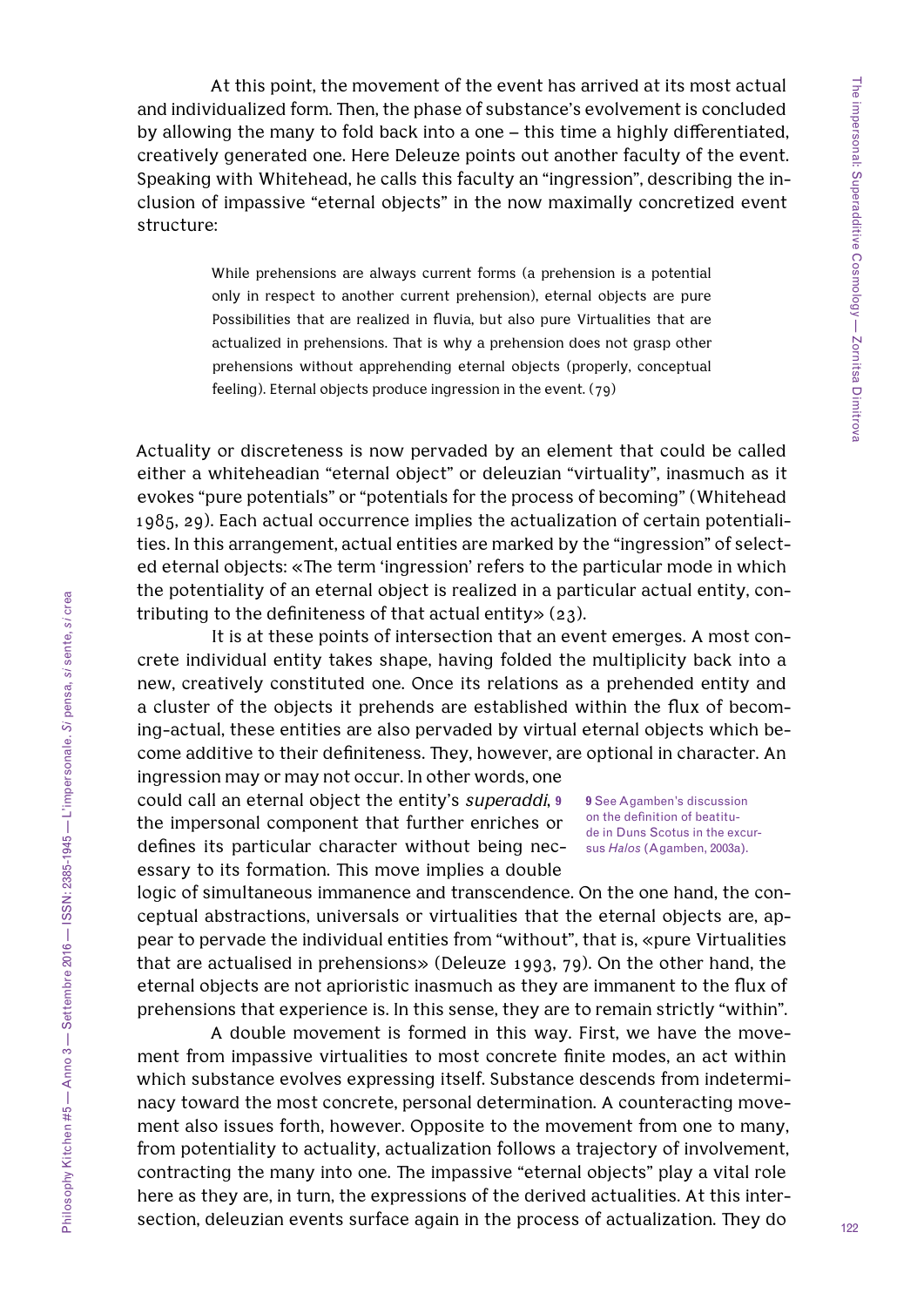At this point, the movement of the event has arrived at its most actual and individualized form. Then, the phase of substance's evolvement is concluded by allowing the many to fold back into a one – this time a highly differentiated, creatively generated one. Here Deleuze points out another faculty of the event. Speaking with Whitehead, he calls this faculty an "ingression", describing the inclusion of impassive "eternal objects" in the now maximally concretized event structure:

> While prehensions are always current forms (a prehension is a potential only in respect to another current prehension), eternal objects are pure Possibilities that are realized in fluvia, but also pure Virtualities that are actualized in prehensions. That is why a prehension does not grasp other prehensions without apprehending eternal objects (properly, conceptual feeling). Eternal objects produce ingression in the event. (79)

Actuality or discreteness is now pervaded by an element that could be called either a whiteheadian "eternal object" or deleuzian "virtuality", inasmuch as it evokes "pure potentials" or "potentials for the process of becoming" (Whitehead 1985, 29). Each actual occurrence implies the actualization of certain potentialities. In this arrangement, actual entities are marked by the "ingression" of selected eternal objects: «The term 'ingression' refers to the particular mode in which the potentiality of an eternal object is realized in a particular actual entity, contributing to the definiteness of that actual entity» (23).

It is at these points of intersection that an event emerges. A most concrete individual entity takes shape, having folded the multiplicity back into a new, creatively constituted one. Once its relations as a prehended entity and a cluster of the objects it prehends are established within the flux of becoming-actual, these entities are also pervaded by virtual eternal objects which become additive to their definiteness. They, however, are optional in character. An ingression may or may not occur. In other words, one

could call an eternal object the entity's *superaddi*, **9** the impersonal component that further enriches or defines its particular character without being necessary to its formation. This move implies a double

**9** See Agamben's discussion on the definition of beatitude in Duns Scotus in the excursus *Halos* (Agamben, 2003a).

logic of simultaneous immanence and transcendence. On the one hand, the conceptual abstractions, universals or virtualities that the eternal objects are, appear to pervade the individual entities from "without", that is, «pure Virtualities that are actualised in prehensions» (Deleuze 1993, 79). On the other hand, the eternal objects are not aprioristic inasmuch as they are immanent to the flux of prehensions that experience is. In this sense, they are to remain strictly "within".

A double movement is formed in this way. First, we have the movement from impassive virtualities to most concrete finite modes, an act within which substance evolves expressing itself. Substance descends from indeterminacy toward the most concrete, personal determination. A counteracting movement also issues forth, however. Opposite to the movement from one to many, from potentiality to actuality, actualization follows a trajectory of involvement, contracting the many into one. The impassive "eternal objects" play a vital role here as they are, in turn, the expressions of the derived actualities. At this intersection, deleuzian events surface again in the process of actualization. They do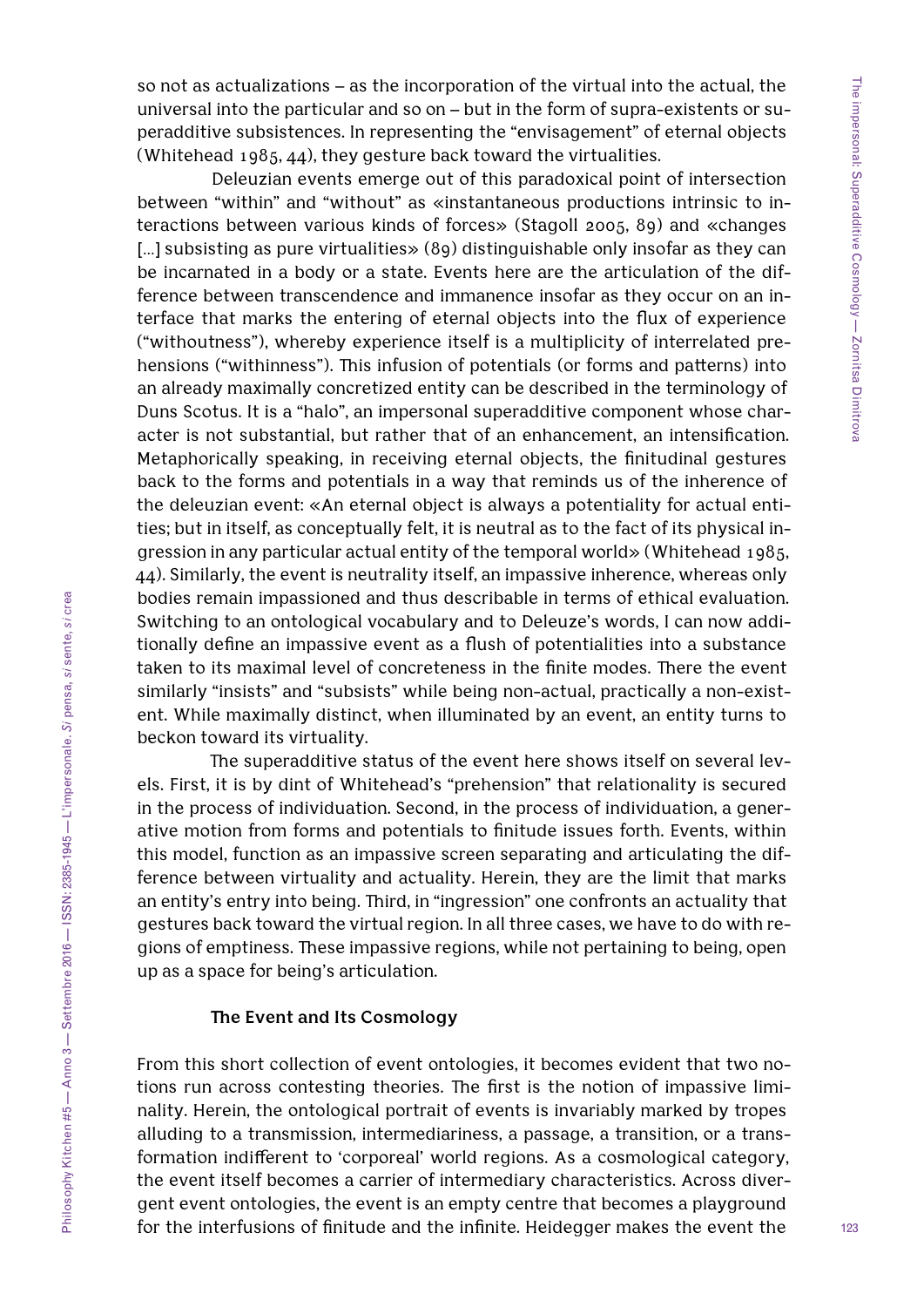so not as actualizations – as the incorporation of the virtual into the actual, the universal into the particular and so on – but in the form of supra-existents or superadditive subsistences. In representing the "envisagement" of eternal objects (Whitehead 1985, 44), they gesture back toward the virtualities.

Deleuzian events emerge out of this paradoxical point of intersection between "within" and "without" as «instantaneous productions intrinsic to interactions between various kinds of forces» (Stagoll 2005, 89) and «changes [...] subsisting as pure virtualities» (89) distinguishable only insofar as they can be incarnated in a body or a state. Events here are the articulation of the difference between transcendence and immanence insofar as they occur on an interface that marks the entering of eternal objects into the flux of experience ("withoutness"), whereby experience itself is a multiplicity of interrelated prehensions ("withinness"). This infusion of potentials (or forms and patterns) into an already maximally concretized entity can be described in the terminology of Duns Scotus. It is a "halo", an impersonal superadditive component whose character is not substantial, but rather that of an enhancement, an intensification. Metaphorically speaking, in receiving eternal objects, the finitudinal gestures back to the forms and potentials in a way that reminds us of the inherence of the deleuzian event: «An eternal object is always a potentiality for actual entities; but in itself, as conceptually felt, it is neutral as to the fact of its physical ingression in any particular actual entity of the temporal world» (Whitehead 1985, 44). Similarly, the event is neutrality itself, an impassive inherence, whereas only bodies remain impassioned and thus describable in terms of ethical evaluation. Switching to an ontological vocabulary and to Deleuze's words, I can now additionally define an impassive event as a flush of potentialities into a substance taken to its maximal level of concreteness in the finite modes. There the event similarly "insists" and "subsists" while being non-actual, practically a non-existent. While maximally distinct, when illuminated by an event, an entity turns to beckon toward its virtuality.

The superadditive status of the event here shows itself on several levels. First, it is by dint of Whitehead's "prehension" that relationality is secured in the process of individuation. Second, in the process of individuation, a generative motion from forms and potentials to finitude issues forth. Events, within this model, function as an impassive screen separating and articulating the difference between virtuality and actuality. Herein, they are the limit that marks an entity's entry into being. Third, in "ingression" one confronts an actuality that gestures back toward the virtual region. In all three cases, we have to do with regions of emptiness. These impassive regions, while not pertaining to being, open up as a space for being's articulation.

## **The Event and Its Cosmology**

From this short collection of event ontologies, it becomes evident that two notions run across contesting theories. The first is the notion of impassive liminality. Herein, the ontological portrait of events is invariably marked by tropes alluding to a transmission, intermediariness, a passage, a transition, or a transformation indifferent to 'corporeal' world regions. As a cosmological category, the event itself becomes a carrier of intermediary characteristics. Across divergent event ontologies, the event is an empty centre that becomes a playground for the interfusions of finitude and the infinite. Heidegger makes the event the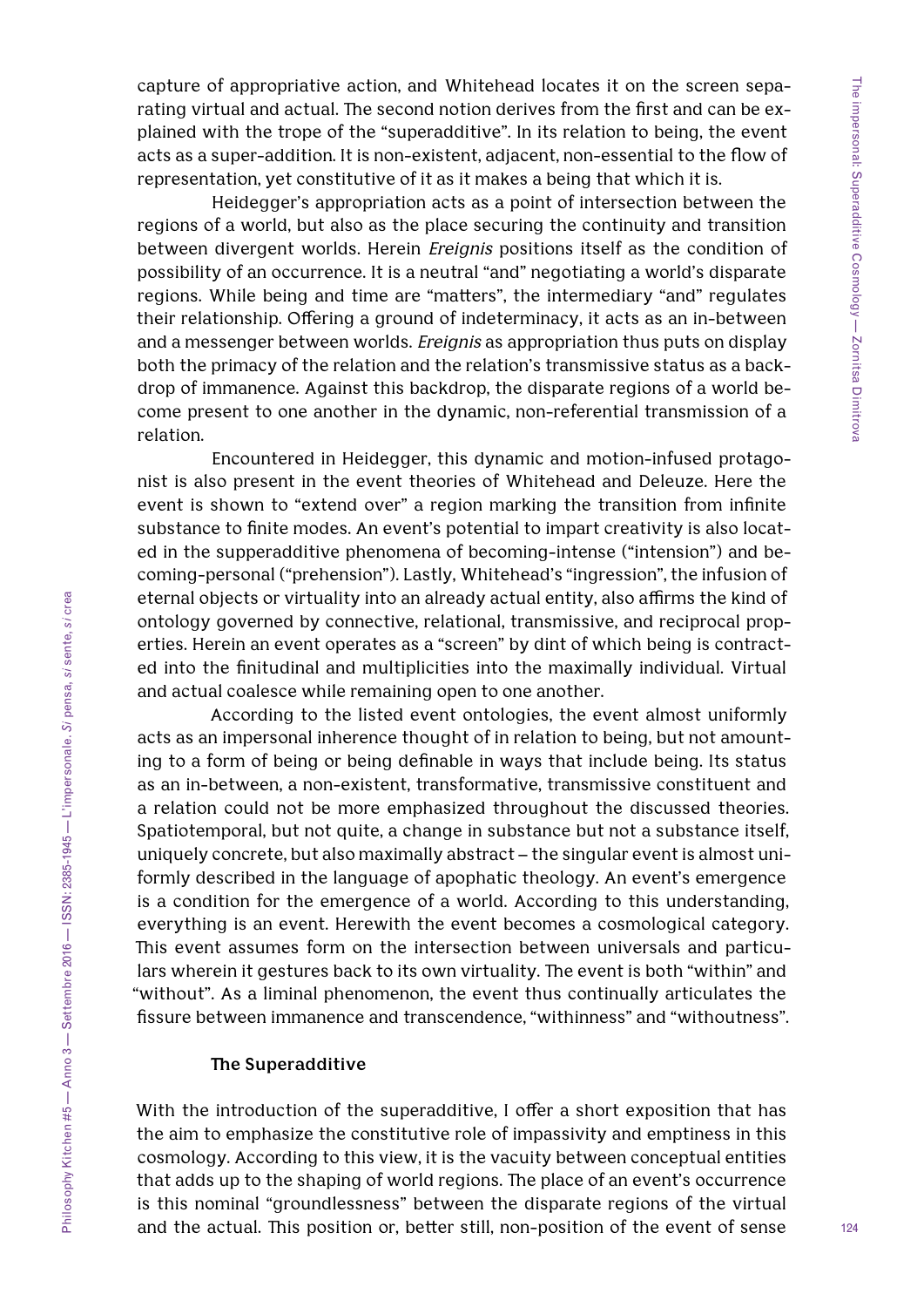capture of appropriative action, and Whitehead locates it on the screen separating virtual and actual. The second notion derives from the first and can be explained with the trope of the "superadditive". In its relation to being, the event acts as a super-addition. It is non-existent, adjacent, non-essential to the flow of representation, yet constitutive of it as it makes a being that which it is.

Heidegger's appropriation acts as a point of intersection between the regions of a world, but also as the place securing the continuity and transition between divergent worlds. Herein *Ereignis* positions itself as the condition of possibility of an occurrence. It is a neutral "and" negotiating a world's disparate regions. While being and time are "matters", the intermediary "and" regulates their relationship. Offering a ground of indeterminacy, it acts as an in-between and a messenger between worlds. *Ereignis* as appropriation thus puts on display both the primacy of the relation and the relation's transmissive status as a backdrop of immanence. Against this backdrop, the disparate regions of a world become present to one another in the dynamic, non-referential transmission of a relation.

Encountered in Heidegger, this dynamic and motion-infused protagonist is also present in the event theories of Whitehead and Deleuze. Here the event is shown to "extend over" a region marking the transition from infinite substance to finite modes. An event's potential to impart creativity is also located in the supperadditive phenomena of becoming-intense ("intension") and becoming-personal ("prehension"). Lastly, Whitehead's "ingression", the infusion of eternal objects or virtuality into an already actual entity, also affirms the kind of ontology governed by connective, relational, transmissive, and reciprocal properties. Herein an event operates as a "screen" by dint of which being is contracted into the finitudinal and multiplicities into the maximally individual. Virtual and actual coalesce while remaining open to one another.

According to the listed event ontologies, the event almost uniformly acts as an impersonal inherence thought of in relation to being, but not amounting to a form of being or being definable in ways that include being. Its status as an in-between, a non-existent, transformative, transmissive constituent and a relation could not be more emphasized throughout the discussed theories. Spatiotemporal, but not quite, a change in substance but not a substance itself, uniquely concrete, but also maximally abstract – the singular event is almost uniformly described in the language of apophatic theology. An event's emergence is a condition for the emergence of a world. According to this understanding, everything is an event. Herewith the event becomes a cosmological category. This event assumes form on the intersection between universals and particulars wherein it gestures back to its own virtuality. The event is both "within" and "without". As a liminal phenomenon, the event thus continually articulates the fissure between immanence and transcendence, "withinness" and "withoutness".

#### **The Superadditive**

With the introduction of the superadditive, I offer a short exposition that has the aim to emphasize the constitutive role of impassivity and emptiness in this cosmology. According to this view, it is the vacuity between conceptual entities that adds up to the shaping of world regions. The place of an event's occurrence is this nominal "groundlessness" between the disparate regions of the virtual and the actual. This position or, better still, non-position of the event of sense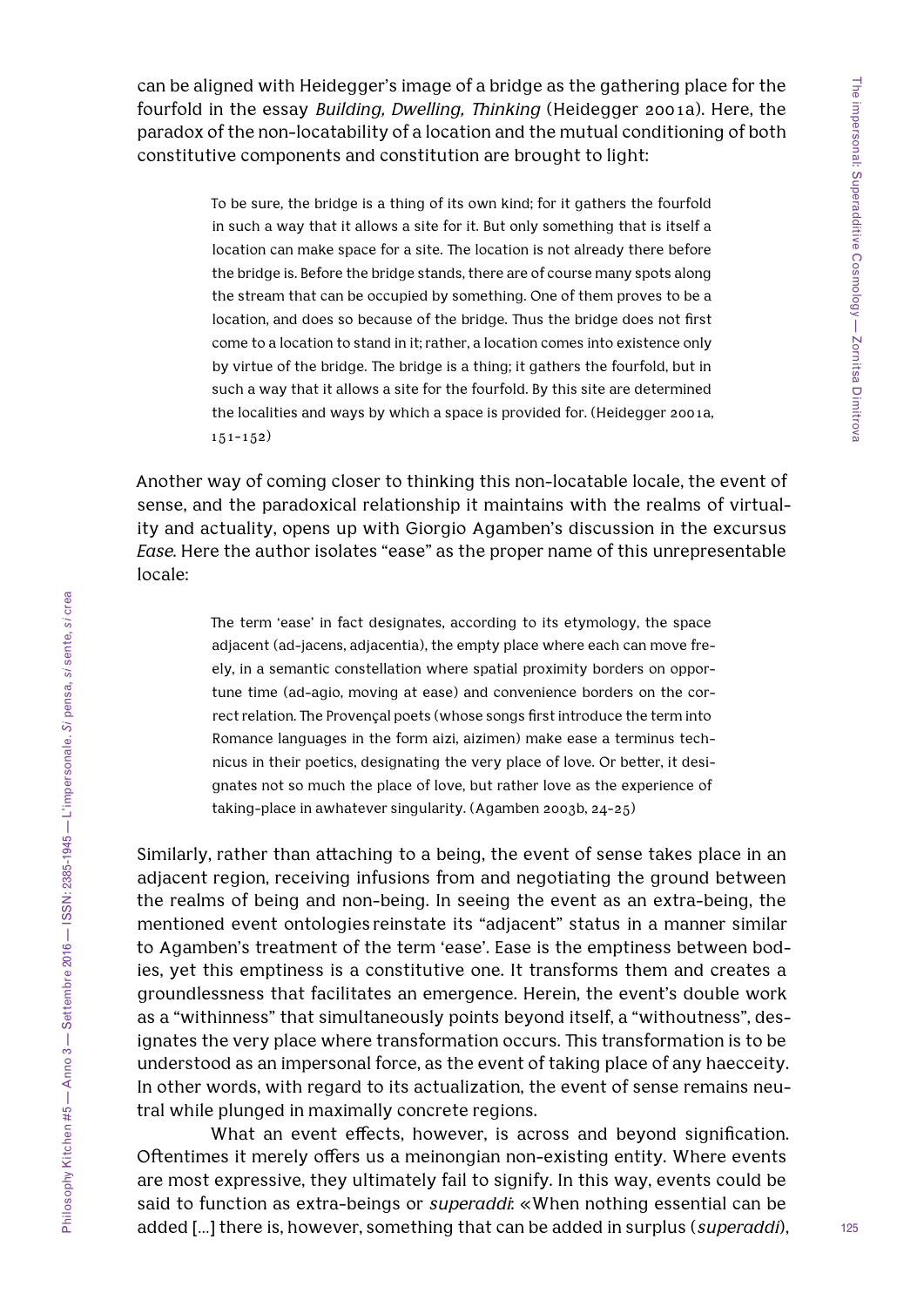can be aligned with Heidegger's image of a bridge as the gathering place for the fourfold in the essay *Building, Dwelling, Thinking* (Heidegger 2001a). Here, the paradox of the non-locatability of a location and the mutual conditioning of both constitutive components and constitution are brought to light:

> To be sure, the bridge is a thing of its own kind; for it gathers the fourfold in such a way that it allows a site for it. But only something that is itself a location can make space for a site. The location is not already there before the bridge is. Before the bridge stands, there are of course many spots along the stream that can be occupied by something. One of them proves to be a location, and does so because of the bridge. Thus the bridge does not first come to a location to stand in it; rather, a location comes into existence only by virtue of the bridge. The bridge is a thing; it gathers the fourfold, but in such a way that it allows a site for the fourfold. By this site are determined the localities and ways by which a space is provided for. (Heidegger 2001a, 151-152)

Another way of coming closer to thinking this non-locatable locale, the event of sense, and the paradoxical relationship it maintains with the realms of virtuality and actuality, opens up with Giorgio Agamben's discussion in the excursus *Ease*. Here the author isolates "ease" as the proper name of this unrepresentable locale:

> The term 'ease' in fact designates, according to its etymology, the space adjacent (ad-jacens, adjacentia), the empty place where each can move freely, in a semantic constellation where spatial proximity borders on opportune time (ad-agio, moving at ease) and convenience borders on the correct relation. The Provençal poets (whose songs first introduce the term into Romance languages in the form aizi, aizimen) make ease a terminus technicus in their poetics, designating the very place of love. Or better, it designates not so much the place of love, but rather love as the experience of taking-place in awhatever singularity. (Agamben 2003b, 24-25)

Similarly, rather than attaching to a being, the event of sense takes place in an adjacent region, receiving infusions from and negotiating the ground between the realms of being and non-being. In seeing the event as an extra-being, the mentioned event ontologies reinstate its "adjacent" status in a manner similar to Agamben's treatment of the term 'ease'. Ease is the emptiness between bodies, yet this emptiness is a constitutive one. It transforms them and creates a groundlessness that facilitates an emergence. Herein, the event's double work as a "withinness" that simultaneously points beyond itself, a "withoutness", designates the very place where transformation occurs. This transformation is to be understood as an impersonal force, as the event of taking place of any haecceity. In other words, with regard to its actualization, the event of sense remains neutral while plunged in maximally concrete regions.

What an event effects, however, is across and beyond signification. Oftentimes it merely offers us a meinongian non-existing entity. Where events are most expressive, they ultimately fail to signify. In this way, events could be said to function as extra-beings or *superaddi*: «When nothing essential can be added […] there is, however, something that can be added in surplus (*superaddi*),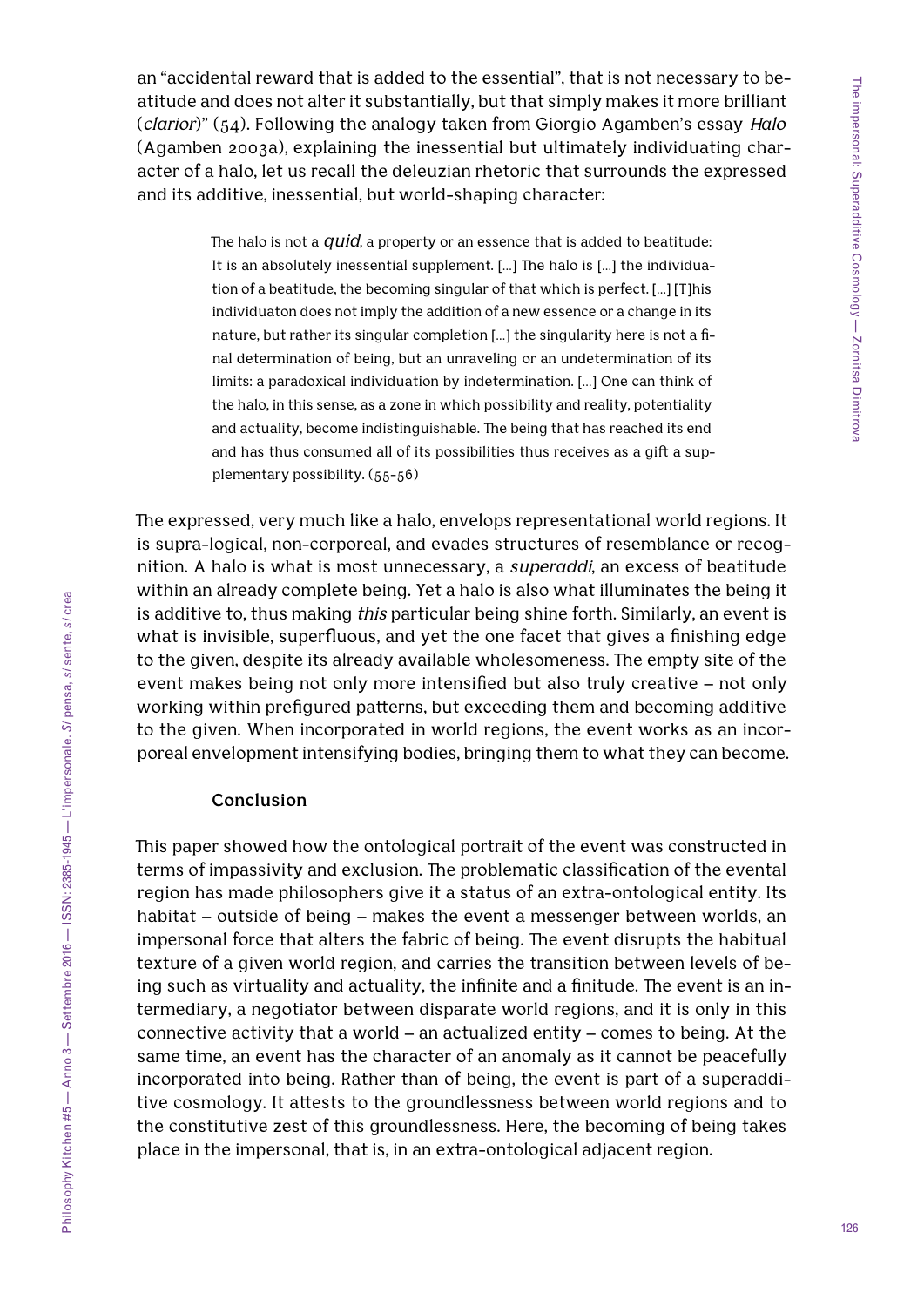an "accidental reward that is added to the essential", that is not necessary to beatitude and does not alter it substantially, but that simply makes it more brilliant (*clarior*)" (54). Following the analogy taken from Giorgio Agamben's essay *Halo* (Agamben 2003a), explaining the inessential but ultimately individuating character of a halo, let us recall the deleuzian rhetoric that surrounds the expressed and its additive, inessential, but world-shaping character:

> The halo is not a *quid*, a property or an essence that is added to beatitude: It is an absolutely inessential supplement. […] The halo is […] the individuation of a beatitude, the becoming singular of that which is perfect. […] [T]his individuaton does not imply the addition of a new essence or a change in its nature, but rather its singular completion […] the singularity here is not a final determination of being, but an unraveling or an undetermination of its limits: a paradoxical individuation by indetermination. […] One can think of the halo, in this sense, as a zone in which possibility and reality, potentiality and actuality, become indistinguishable. The being that has reached its end and has thus consumed all of its possibilities thus receives as a gift a supplementary possibility. (55-56)

The expressed, very much like a halo, envelops representational world regions. It is supra-logical, non-corporeal, and evades structures of resemblance or recognition. A halo is what is most unnecessary, a *superaddi*, an excess of beatitude within an already complete being. Yet a halo is also what illuminates the being it is additive to, thus making *this* particular being shine forth. Similarly, an event is what is invisible, superfluous, and yet the one facet that gives a finishing edge to the given, despite its already available wholesomeness. The empty site of the event makes being not only more intensified but also truly creative – not only working within prefigured patterns, but exceeding them and becoming additive to the given. When incorporated in world regions, the event works as an incorporeal envelopment intensifying bodies, bringing them to what they can become.

## **Conclusion**

This paper showed how the ontological portrait of the event was constructed in terms of impassivity and exclusion. The problematic classification of the evental region has made philosophers give it a status of an extra-ontological entity. Its habitat – outside of being – makes the event a messenger between worlds, an impersonal force that alters the fabric of being. The event disrupts the habitual texture of a given world region, and carries the transition between levels of being such as virtuality and actuality, the infinite and a finitude. The event is an intermediary, a negotiator between disparate world regions, and it is only in this connective activity that a world – an actualized entity – comes to being. At the same time, an event has the character of an anomaly as it cannot be peacefully incorporated into being. Rather than of being, the event is part of a superadditive cosmology. It attests to the groundlessness between world regions and to the constitutive zest of this groundlessness. Here, the becoming of being takes place in the impersonal, that is, in an extra-ontological adjacent region.